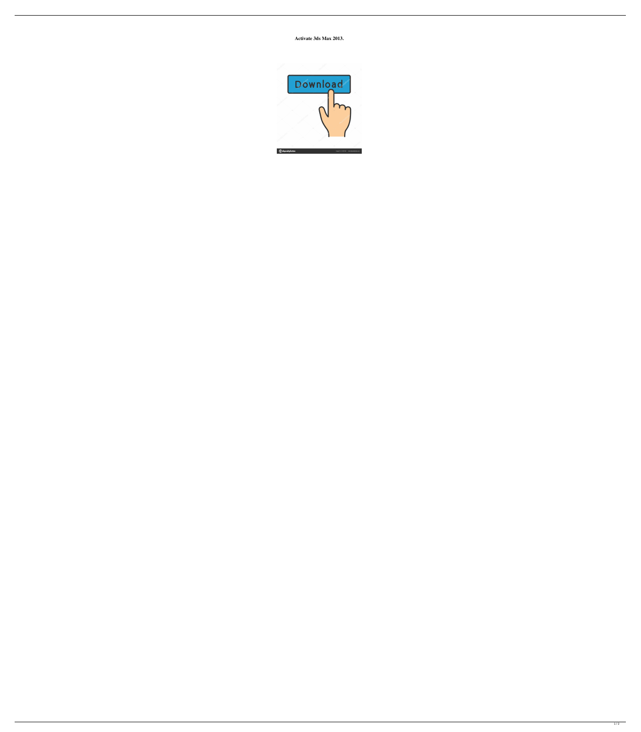**Activate 3ds Max 2013.**